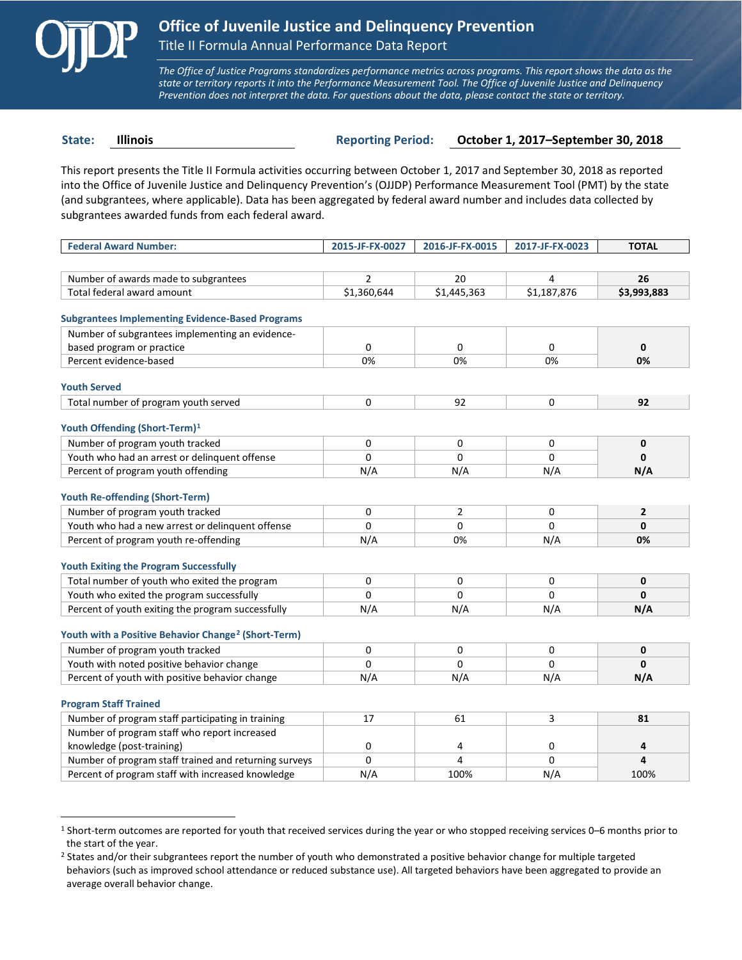

 $\overline{a}$ 

*The Office of Justice Programs standardizes performance metrics across programs. This report shows the data as the state or territory reports it into the Performance Measurement Tool. The Office of Juvenile Justice and Delinquency Prevention does not interpret the data. For questions about the data, please contact the state or territory.*

**State: Illinois Reporting Period: October 1, 2017–September 30, 2018**

This report presents the Title II Formula activities occurring between October 1, 2017 and September 30, 2018 as reported into the Office of Juvenile Justice and Delinquency Prevention's (OJJDP) Performance Measurement Tool (PMT) by the state (and subgrantees, where applicable). Data has been aggregated by federal award number and includes data collected by subgrantees awarded funds from each federal award.

| <b>Federal Award Number:</b>                                    | 2015-JF-FX-0027 | 2016-JF-FX-0015 | 2017-JF-FX-0023 | <b>TOTAL</b>   |
|-----------------------------------------------------------------|-----------------|-----------------|-----------------|----------------|
|                                                                 |                 |                 |                 |                |
| Number of awards made to subgrantees                            | $\overline{2}$  | 20              | 4               | 26             |
| Total federal award amount                                      | \$1,360,644     | \$1,445,363     | \$1,187,876     | \$3,993,883    |
|                                                                 |                 |                 |                 |                |
| <b>Subgrantees Implementing Evidence-Based Programs</b>         |                 |                 |                 |                |
| Number of subgrantees implementing an evidence-                 |                 |                 |                 |                |
| based program or practice                                       | $\mathbf 0$     | 0               | 0               | $\mathbf{0}$   |
| Percent evidence-based                                          | 0%              | 0%              | 0%              | 0%             |
| <b>Youth Served</b>                                             |                 |                 |                 |                |
| Total number of program youth served                            | 0               | 92              | 0               | 92             |
|                                                                 |                 |                 |                 |                |
| Youth Offending (Short-Term) <sup>1</sup>                       |                 |                 |                 |                |
| Number of program youth tracked                                 | 0               | 0               | 0               | 0              |
| Youth who had an arrest or delinquent offense                   | $\Omega$        | $\Omega$        | $\Omega$        | $\mathbf{0}$   |
| Percent of program youth offending                              | N/A             | N/A             | N/A             | N/A            |
|                                                                 |                 |                 |                 |                |
| <b>Youth Re-offending (Short-Term)</b>                          |                 |                 |                 |                |
| Number of program youth tracked                                 | 0               | 2               | 0               | $\overline{2}$ |
| Youth who had a new arrest or delinguent offense                | $\Omega$        | $\Omega$        | 0               | $\mathbf{0}$   |
| Percent of program youth re-offending                           | N/A             | 0%              | N/A             | 0%             |
| <b>Youth Exiting the Program Successfully</b>                   |                 |                 |                 |                |
| Total number of youth who exited the program                    | $\Omega$        | $\Omega$        | 0               | $\mathbf{0}$   |
| Youth who exited the program successfully                       | $\Omega$        | $\Omega$        | 0               | $\mathbf{0}$   |
| Percent of youth exiting the program successfully               | N/A             | N/A             | N/A             | N/A            |
|                                                                 |                 |                 |                 |                |
| Youth with a Positive Behavior Change <sup>2</sup> (Short-Term) |                 |                 |                 |                |
| Number of program youth tracked                                 | 0               | 0               | 0               | 0              |
| Youth with noted positive behavior change                       | $\Omega$        | $\Omega$        | $\Omega$        | $\mathbf{0}$   |
| Percent of youth with positive behavior change                  | N/A             | N/A             | N/A             | N/A            |
| <b>Program Staff Trained</b>                                    |                 |                 |                 |                |
| Number of program staff participating in training               | 17              | 61              | 3               | 81             |
| Number of program staff who report increased                    |                 |                 |                 |                |
| knowledge (post-training)                                       | 0               | 4               | 0               | 4              |
| Number of program staff trained and returning surveys           | $\Omega$        | 4               | $\Omega$        | 4              |
| Percent of program staff with increased knowledge               | N/A             | 100%            | N/A             | 100%           |
|                                                                 |                 |                 |                 |                |

<span id="page-0-0"></span>1 Short-term outcomes are reported for youth that received services during the year or who stopped receiving services 0–6 months prior to the start of the year.

<span id="page-0-1"></span><sup>2</sup> States and/or their subgrantees report the number of youth who demonstrated a positive behavior change for multiple targeted behaviors (such as improved school attendance or reduced substance use). All targeted behaviors have been aggregated to provide an average overall behavior change.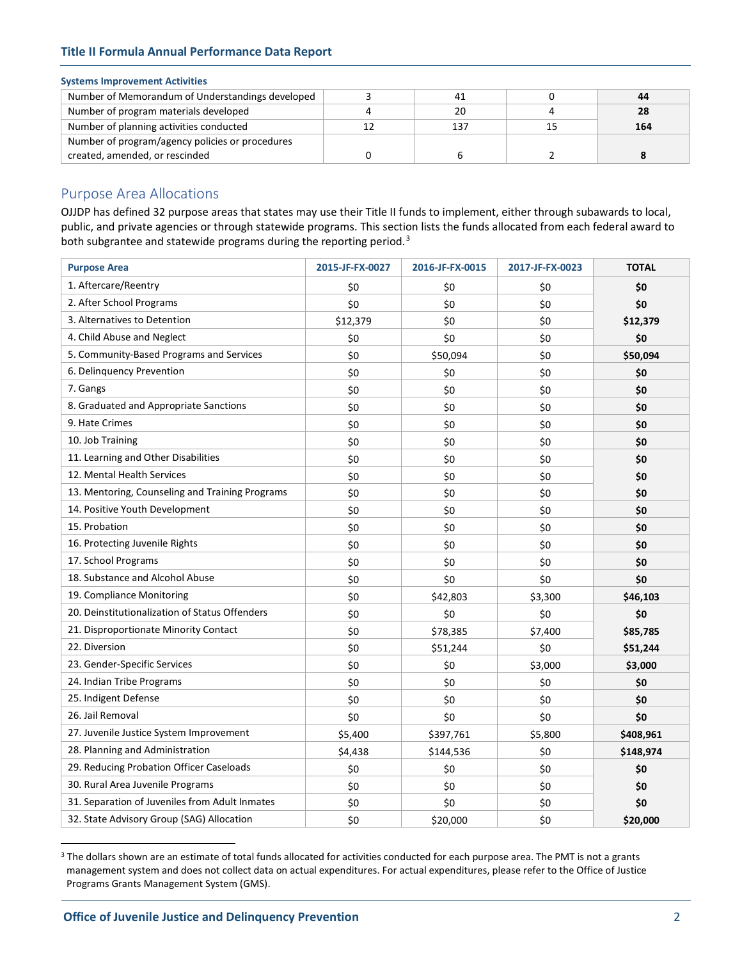# **Title II Formula Annual Performance Data Report**

# **Systems Improvement Activities**

| Number of Memorandum of Understandings developed |     | 44  |
|--------------------------------------------------|-----|-----|
| Number of program materials developed            | 20  |     |
| Number of planning activities conducted          | 137 | 164 |
| Number of program/agency policies or procedures  |     |     |
| created, amended, or rescinded                   |     |     |

# Purpose Area Allocations

OJJDP has defined 32 purpose areas that states may use their Title II funds to implement, either through subawards to local, public, and private agencies or through statewide programs. This section lists the funds allocated from each federal award to both subgrantee and statewide programs during the reporting period.<sup>[3](#page-1-0)</sup>

| <b>Purpose Area</b>                             | 2015-JF-FX-0027 | 2016-JF-FX-0015 | 2017-JF-FX-0023 | <b>TOTAL</b> |
|-------------------------------------------------|-----------------|-----------------|-----------------|--------------|
| 1. Aftercare/Reentry                            | \$0             | \$0             | \$0             | \$0          |
| 2. After School Programs                        | \$0             | \$0             | \$0             | \$0          |
| 3. Alternatives to Detention                    | \$12,379        | \$0             | \$0             | \$12,379     |
| 4. Child Abuse and Neglect                      | \$0             | \$0             | \$0             | \$0          |
| 5. Community-Based Programs and Services        | \$0             | \$50,094        | \$0             | \$50,094     |
| 6. Delinquency Prevention                       | \$0             | \$0             | \$0             | \$0          |
| 7. Gangs                                        | \$0             | \$0             | \$0             | \$0          |
| 8. Graduated and Appropriate Sanctions          | \$0             | \$0             | \$0             | \$0          |
| 9. Hate Crimes                                  | \$0             | \$0             | \$0             | \$0          |
| 10. Job Training                                | \$0             | \$0             | \$0             | \$0          |
| 11. Learning and Other Disabilities             | \$0             | \$0             | \$0             | \$0          |
| 12. Mental Health Services                      | \$0             | \$0             | \$0             | \$0          |
| 13. Mentoring, Counseling and Training Programs | \$0             | \$0             | \$0             | \$0          |
| 14. Positive Youth Development                  | \$0             | \$0             | \$0             | \$0          |
| 15. Probation                                   | \$0             | \$0             | \$0             | \$0          |
| 16. Protecting Juvenile Rights                  | \$0             | \$0             | \$0             | \$0          |
| 17. School Programs                             | \$0             | \$0             | \$0             | \$0          |
| 18. Substance and Alcohol Abuse                 | \$0             | \$0             | \$0             | \$0          |
| 19. Compliance Monitoring                       | \$0             | \$42,803        | \$3,300         | \$46,103     |
| 20. Deinstitutionalization of Status Offenders  | \$0             | \$0             | \$0             | \$0          |
| 21. Disproportionate Minority Contact           | \$0             | \$78,385        | \$7,400         | \$85,785     |
| 22. Diversion                                   | \$0             | \$51,244        | \$0             | \$51,244     |
| 23. Gender-Specific Services                    | \$0             | \$0             | \$3,000         | \$3,000      |
| 24. Indian Tribe Programs                       | \$0             | \$0             | \$0             | \$0          |
| 25. Indigent Defense                            | \$0             | \$0             | \$0             | \$0          |
| 26. Jail Removal                                | \$0             | \$0             | \$0             | \$0          |
| 27. Juvenile Justice System Improvement         | \$5,400         | \$397,761       | \$5,800         | \$408,961    |
| 28. Planning and Administration                 | \$4,438         | \$144,536       | \$0             | \$148,974    |
| 29. Reducing Probation Officer Caseloads        | \$0             | \$0             | \$0             | \$0          |
| 30. Rural Area Juvenile Programs                | \$0             | \$0             | \$0             | \$0          |
| 31. Separation of Juveniles from Adult Inmates  | \$0             | \$0             | \$0             | \$0          |
| 32. State Advisory Group (SAG) Allocation       | \$0             | \$20,000        | \$0             | \$20,000     |

<span id="page-1-0"></span><sup>&</sup>lt;sup>3</sup> The dollars shown are an estimate of total funds allocated for activities conducted for each purpose area. The PMT is not a grants management system and does not collect data on actual expenditures. For actual expenditures, please refer to the Office of Justice Programs Grants Management System (GMS).

 $\overline{a}$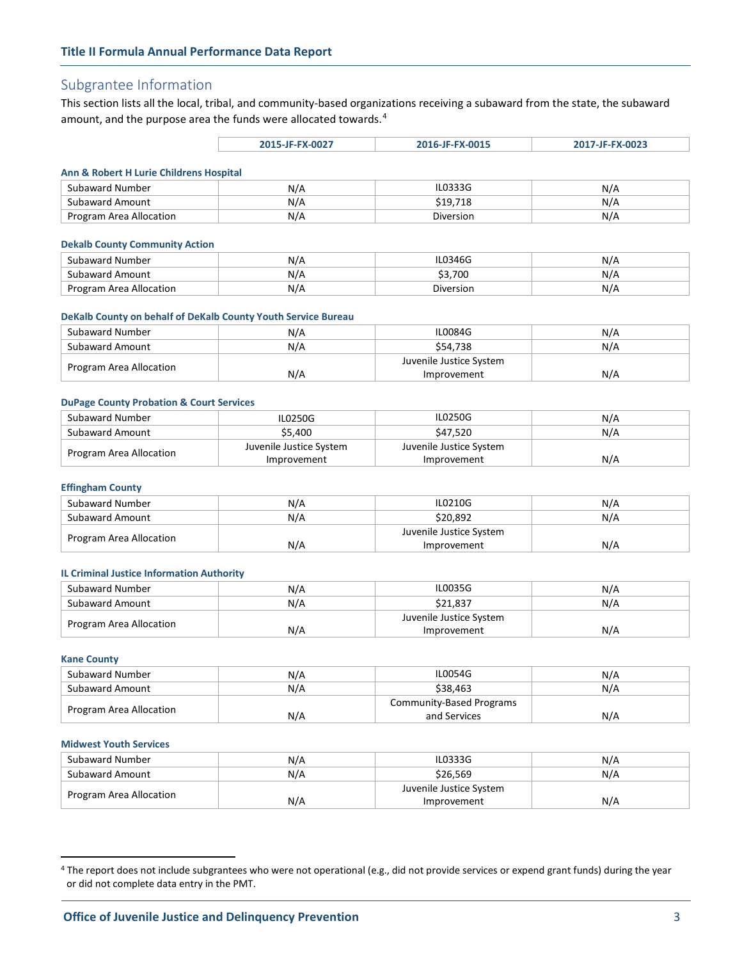# Subgrantee Information

This section lists all the local, tribal, and community-based organizations receiving a subaward from the state, the subaward amount, and the purpose area the funds were allocated towards.<sup>[4](#page-2-0)</sup>

|                                         | 2015-JF-FX-0027 | 2016-JF-FX-0015 | 2017-JF-FX-0023 |
|-----------------------------------------|-----------------|-----------------|-----------------|
|                                         |                 |                 |                 |
| Ann & Robert H Lurie Childrens Hospital |                 |                 |                 |

| Subaward Number         | N/A | IL0333G   | N/A |
|-------------------------|-----|-----------|-----|
| Subaward Amount         | N/A | 19,718ء   | N/A |
| Program Area Allocation | N/A | Diversion | N/A |

#### **Dekalb County Community Action**

| Subaward Number            | $\mathbf{v}$ | L0346G    | N/   |
|----------------------------|--------------|-----------|------|
| Subaward Amount            | $\mathbf{v}$ | .700      | N/   |
| Area Allocation<br>Program | N/A          | Diversion | IV/A |

## **DeKalb County on behalf of DeKalb County Youth Service Bureau**

| Subaward Number         | N/A | <b>IL0084G</b>          | N/A |
|-------------------------|-----|-------------------------|-----|
| Subaward Amount         | N/A | \$54.738                | N/A |
|                         |     | Juvenile Justice System |     |
| Program Area Allocation | N/A | Improvement             | N/A |

# **DuPage County Probation & Court Services**

| Subaward Number         | <b>IL0250G</b>          | IL0250G                 | N/A |
|-------------------------|-------------------------|-------------------------|-----|
| Subaward Amount         | \$5.400                 | \$47.520                | N/A |
| Program Area Allocation | Juvenile Justice System | Juvenile Justice System |     |
|                         | Improvement             | Improvement             | N/A |

#### **Effingham County**

| Subaward Number         | N/A | IL0210G                 | N/A |
|-------------------------|-----|-------------------------|-----|
| Subaward Amount         | N/A | \$20.892                | N/A |
|                         |     | Juvenile Justice System |     |
| Program Area Allocation | N/A | Improvement             | N/A |

# **IL Criminal Justice Information Authority**

| Subaward Number         | N/A | IL0035G                 | N/A |
|-------------------------|-----|-------------------------|-----|
| Subaward Amount         | N/A | \$21.837                | N/A |
| Program Area Allocation |     | Juvenile Justice System |     |
|                         | N/A | Improvement             | N/A |

#### **Kane County**

 $\overline{a}$ 

| Subaward Number         | N/A | IL0054G                  | N/A |
|-------------------------|-----|--------------------------|-----|
| Subaward Amount         | N/A | \$38,463                 | N/A |
| Program Area Allocation |     | Community-Based Programs |     |
|                         | N/A | and Services             | N/A |

#### **Midwest Youth Services**

| Subaward Number         | N/A | IL0333G                 | N/A |
|-------------------------|-----|-------------------------|-----|
| Subaward Amount         | N/A | \$26.569                | N/A |
|                         |     | Juvenile Justice System |     |
| Program Area Allocation | N/A | Improvement             | N/A |

<span id="page-2-0"></span><sup>&</sup>lt;sup>4</sup> The report does not include subgrantees who were not operational (e.g., did not provide services or expend grant funds) during the year or did not complete data entry in the PMT.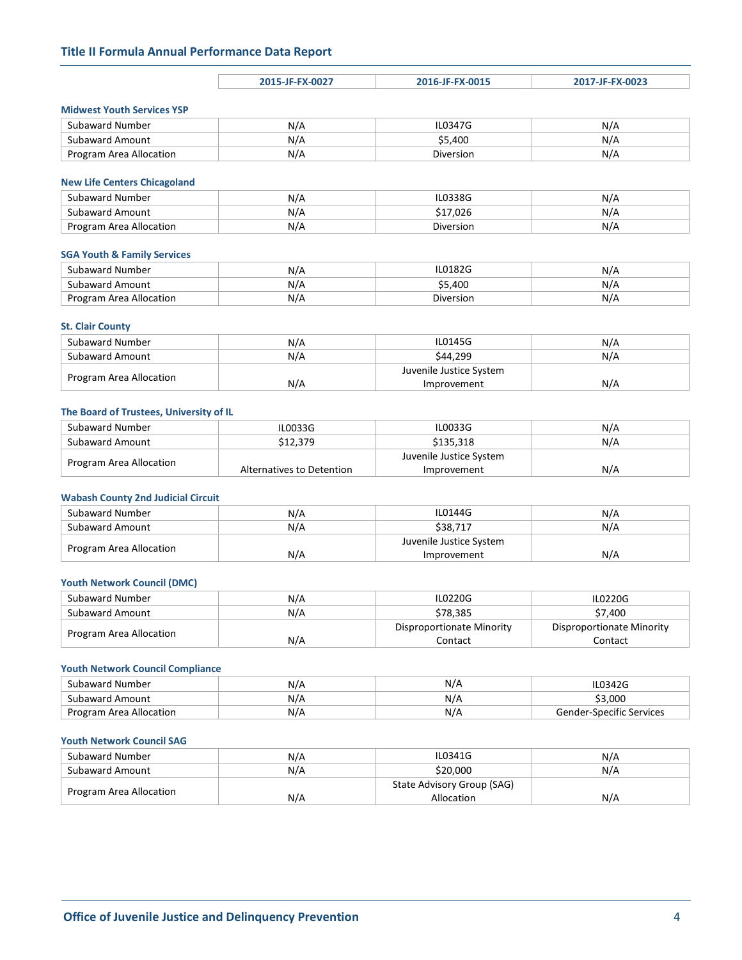# **Title II Formula Annual Performance Data Report**

|                                        | 2015-JF-FX-0027 | 2016-JF-FX-0015         | 2017-JF-FX-0023 |
|----------------------------------------|-----------------|-------------------------|-----------------|
|                                        |                 |                         |                 |
| <b>Midwest Youth Services YSP</b>      |                 |                         |                 |
| Subaward Number                        | N/A             | IL0347G                 | N/A             |
| <b>Subaward Amount</b>                 | N/A             | \$5,400                 | N/A             |
| Program Area Allocation                | N/A             | Diversion               | N/A             |
|                                        |                 |                         |                 |
| <b>New Life Centers Chicagoland</b>    |                 |                         |                 |
| Subaward Number                        | N/A             | IL0338G                 | N/A             |
| <b>Subaward Amount</b>                 | N/A             | \$17,026                | N/A             |
| Program Area Allocation                | N/A             | <b>Diversion</b>        | N/A             |
|                                        |                 |                         |                 |
| <b>SGA Youth &amp; Family Services</b> |                 |                         |                 |
| Subaward Number                        | N/A             | IL0182G                 | N/A             |
| <b>Subaward Amount</b>                 | N/A             | \$5,400                 | N/A             |
| Program Area Allocation                | N/A             | <b>Diversion</b>        | N/A             |
|                                        |                 |                         |                 |
| <b>St. Clair County</b>                |                 |                         |                 |
| Subaward Number                        | N/A             | <b>IL0145G</b>          | N/A             |
| <b>Subaward Amount</b>                 | N/A             | \$44,299                | N/A             |
|                                        |                 | Juvenile Justice System |                 |

## **The Board of Trustees, University of IL**

Program Area Allocation N/A

| Subaward Number         | IL0033G                   | IL0033G                 | N/A |
|-------------------------|---------------------------|-------------------------|-----|
| Subaward Amount         | \$12,379                  | \$135.318               | N/A |
| Program Area Allocation |                           | Juvenile Justice System |     |
|                         | Alternatives to Detention | Improvement             | N/A |

Improvement N/A

# **Wabash County 2nd Judicial Circuit**

| Subaward Number         | N/A | <b>IL0144G</b>          | N/A |
|-------------------------|-----|-------------------------|-----|
| Subaward Amount         | N/A | \$38.717                | N/A |
|                         |     | Juvenile Justice System |     |
| Program Area Allocation | N/A | Improvement             | N/A |

## **Youth Network Council (DMC)**

| Subaward Number         | N/A | <b>IL0220G</b>            | IL0220G                   |
|-------------------------|-----|---------------------------|---------------------------|
| Subaward Amount         | N/A | \$78.385                  | \$7.400                   |
|                         |     | Disproportionate Minority | Disproportionate Minority |
| Program Area Allocation | N/A | Contact                   | Contact                   |

# **Youth Network Council Compliance**

| Subaward Number         | N/A | N/H | IL0342G                  |
|-------------------------|-----|-----|--------------------------|
| Subaward Amount         | N/A | N/A | - 3.000د                 |
| Program Area Allocation | N/A | N/F | Gender-Specific Services |

# **Youth Network Council SAG**

| Subaward Number         | N/A | IL0341G                    | N/A |
|-------------------------|-----|----------------------------|-----|
| Subaward Amount         | N/A | \$20.000                   | N/A |
| Program Area Allocation |     | State Advisory Group (SAG) |     |
|                         | N/A | Allocation                 | N/A |